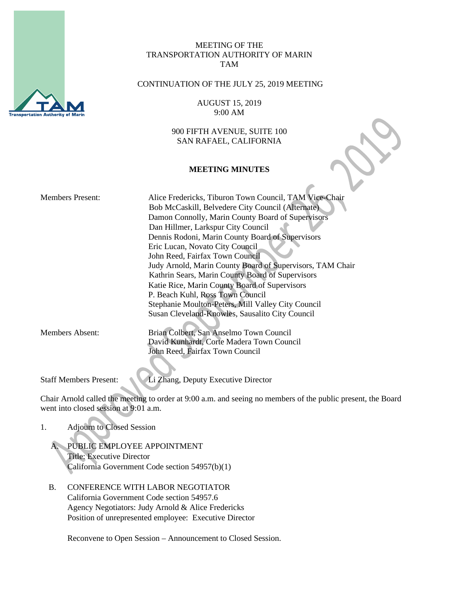

## MEETING OF THE TRANSPORTATION AUTHORITY OF MARIN TAM

## CONTINUATION OF THE JULY 25, 2019 MEETING

AUGUST 15, 2019 9:00 AM

900 FIFTH AVENUE, SUITE 100 SAN RAFAEL, CALIFORNIA

### **MEETING MINUTES**

| <b>Members Present:</b>       | Alice Fredericks, Tiburon Town Council, TAM Vice-Chair<br>Bob McCaskill, Belvedere City Council (Alternate)<br>Damon Connolly, Marin County Board of Supervisors<br>Dan Hillmer, Larkspur City Council<br>Dennis Rodoni, Marin County Board of Supervisors<br>Eric Lucan, Novato City Council<br>John Reed, Fairfax Town Council<br>Judy Arnold, Marin County Board of Supervisors, TAM Chair<br>Kathrin Sears, Marin County Board of Supervisors<br>Katie Rice, Marin County Board of Supervisors<br>P. Beach Kuhl, Ross Town Council<br>Stephanie Moulton-Peters, Mill Valley City Council |
|-------------------------------|----------------------------------------------------------------------------------------------------------------------------------------------------------------------------------------------------------------------------------------------------------------------------------------------------------------------------------------------------------------------------------------------------------------------------------------------------------------------------------------------------------------------------------------------------------------------------------------------|
|                               | Susan Cleveland-Knowles, Sausalito City Council                                                                                                                                                                                                                                                                                                                                                                                                                                                                                                                                              |
| Members Absent:               | Brian Colbert, San Anselmo Town Council<br>David Kunhardt, Corte Madera Town Council<br>John Reed, Fairfax Town Council                                                                                                                                                                                                                                                                                                                                                                                                                                                                      |
| <b>Staff Members Present:</b> | Li Zhang, Deputy Executive Director                                                                                                                                                                                                                                                                                                                                                                                                                                                                                                                                                          |

Chair Arnold called the meeting to order at 9:00 a.m. and seeing no members of the public present, the Board went into closed session at 9:01 a.m.

# 1. Adjourn to Closed Session

- A. PUBLIC EMPLOYEE APPOINTMENT Title: Executive Director California Government Code section 54957(b)(1)
- B. CONFERENCE WITH LABOR NEGOTIATOR California Government Code section 54957.6 Agency Negotiators: Judy Arnold & Alice Fredericks Position of unrepresented employee: Executive Director

Reconvene to Open Session – Announcement to Closed Session.